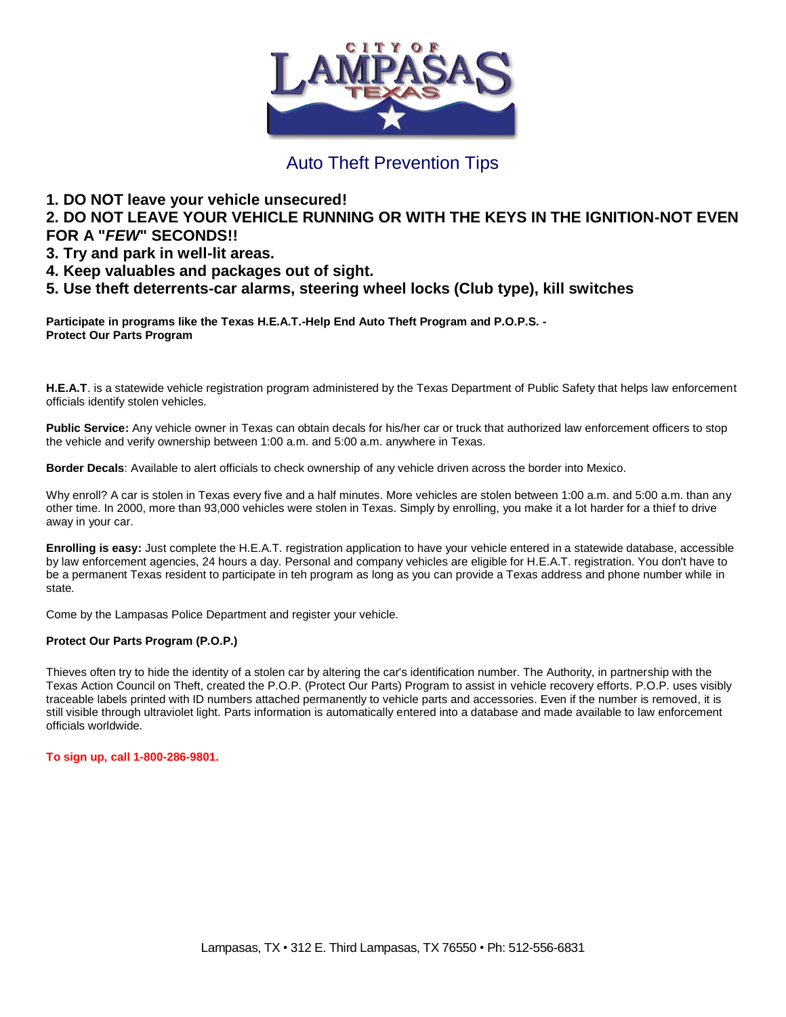

## Auto Theft Prevention Tips

## **1. DO NOT leave your vehicle unsecured!**

**2. DO NOT LEAVE YOUR VEHICLE RUNNING OR WITH THE KEYS IN THE IGNITION-NOT EVEN FOR A "***FEW***" SECONDS!!**

- **3. Try and park in well-lit areas.**
- **4. Keep valuables and packages out of sight.**
- **5. Use theft deterrents-car alarms, steering wheel locks (Club type), kill switches**

**Participate in programs like the Texas H.E.A.T.-Help End Auto Theft Program and P.O.P.S. - Protect Our Parts Program** 

**H.E.A.T**. is a statewide vehicle registration program administered by the Texas Department of Public Safety that helps law enforcement officials identify stolen vehicles.

**Public Service:** Any vehicle owner in Texas can obtain decals for his/her car or truck that authorized law enforcement officers to stop the vehicle and verify ownership between 1:00 a.m. and 5:00 a.m. anywhere in Texas.

**Border Decals**: Available to alert officials to check ownership of any vehicle driven across the border into Mexico.

Why enroll? A car is stolen in Texas every five and a half minutes. More vehicles are stolen between 1:00 a.m. and 5:00 a.m. than any other time. In 2000, more than 93,000 vehicles were stolen in Texas. Simply by enrolling, you make it a lot harder for a thief to drive away in your car.

**Enrolling is easy:** Just complete the H.E.A.T. registration application to have your vehicle entered in a statewide database, accessible by law enforcement agencies, 24 hours a day. Personal and company vehicles are eligible for H.E.A.T. registration. You don't have to be a permanent Texas resident to participate in teh program as long as you can provide a Texas address and phone number while in state.

Come by the Lampasas Police Department and register your vehicle.

## **Protect Our Parts Program (P.O.P.)**

Thieves often try to hide the identity of a stolen car by altering the car's identification number. The Authority, in partnership with the Texas Action Council on Theft, created the P.O.P. (Protect Our Parts) Program to assist in vehicle recovery efforts. P.O.P. uses visibly traceable labels printed with ID numbers attached permanently to vehicle parts and accessories. Even if the number is removed, it is still visible through ultraviolet light. Parts information is automatically entered into a database and made available to law enforcement officials worldwide.

## **To sign up, call 1-800-286-9801.**